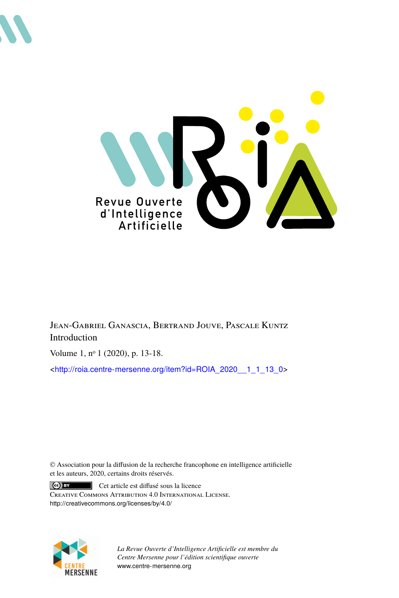



Jean-Gabriel Ganascia, Bertrand Jouve, Pascale Kuntz Introduction

Volume 1, n<sup>o</sup> 1 (2020), p. 13-18.

<[http://roia.centre-mersenne.org/item?id=ROIA\\_2020\\_\\_1\\_1\\_13\\_0](http://roia.centre-mersenne.org/item?id=ROIA_2020__1_1_13_0)>

© Association pour la diffusion de la recherche francophone en intelligence artificielle et les auteurs, 2020, certains droits réservés.

 $\vert$  (cc)  $\vert$  BY Cet article est diffusé sous la licence Creative Commons Attribution 4.0 International License. <http://creativecommons.org/licenses/by/4.0/>



*La Revue Ouverte d'Intelligence Artificielle est membre du Centre Mersenne pour l'édition scientifique ouverte* <www.centre-mersenne.org>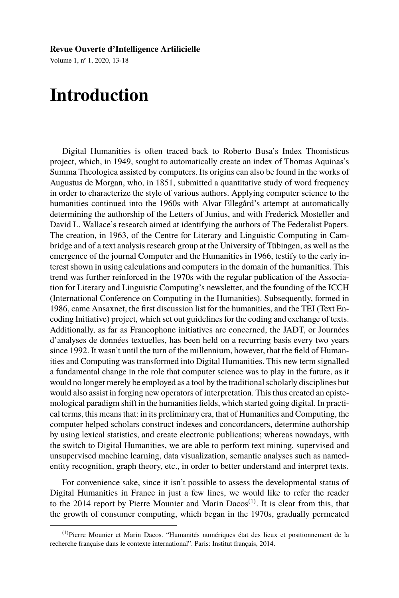## **Revue Ouverte d'Intelligence Artificielle**

Volume 1, n<sup>o</sup> 1, 2020, 13-18

## **Introduction**

Digital Humanities is often traced back to Roberto Busa's Index Thomisticus project, which, in 1949, sought to automatically create an index of Thomas Aquinas's Summa Theologica assisted by computers. Its origins can also be found in the works of Augustus de Morgan, who, in 1851, submitted a quantitative study of word frequency in order to characterize the style of various authors. Applying computer science to the humanities continued into the 1960s with Alvar Ellegård's attempt at automatically determining the authorship of the Letters of Junius, and with Frederick Mosteller and David L. Wallace's research aimed at identifying the authors of The Federalist Papers. The creation, in 1963, of the Centre for Literary and Linguistic Computing in Cambridge and of a text analysis research group at the University of Tübingen, as well as the emergence of the journal Computer and the Humanities in 1966, testify to the early interest shown in using calculations and computers in the domain of the humanities. This trend was further reinforced in the 1970s with the regular publication of the Association for Literary and Linguistic Computing's newsletter, and the founding of the ICCH (International Conference on Computing in the Humanities). Subsequently, formed in 1986, came Ansaxnet, the first discussion list for the humanities, and the TEI (Text Encoding Initiative) project, which set out guidelines for the coding and exchange of texts. Additionally, as far as Francophone initiatives are concerned, the JADT, or Journées d'analyses de données textuelles, has been held on a recurring basis every two years since 1992. It wasn't until the turn of the millennium, however, that the field of Humanities and Computing was transformed into Digital Humanities. This new term signalled a fundamental change in the role that computer science was to play in the future, as it would no longer merely be employed as a tool by the traditional scholarly disciplines but would also assist in forging new operators of interpretation. This thus created an epistemological paradigm shift in the humanities fields, which started going digital. In practical terms, this means that: in its preliminary era, that of Humanities and Computing, the computer helped scholars construct indexes and concordancers, determine authorship by using lexical statistics, and create electronic publications; whereas nowadays, with the switch to Digital Humanities, we are able to perform text mining, supervised and unsupervised machine learning, data visualization, semantic analyses such as namedentity recognition, graph theory, etc., in order to better understand and interpret texts.

For convenience sake, since it isn't possible to assess the developmental status of Digital Humanities in France in just a few lines, we would like to refer the reader to the 2014 report by Pierre Mounier and Marin Dacos<sup>(1)</sup>. It is clear from this, that the growth of consumer computing, which began in the 1970s, gradually permeated

<sup>(1)</sup>Pierre Mounier et Marin Dacos. "Humanités numériques état des lieux et positionnement de la recherche française dans le contexte international". Paris: Institut français, 2014.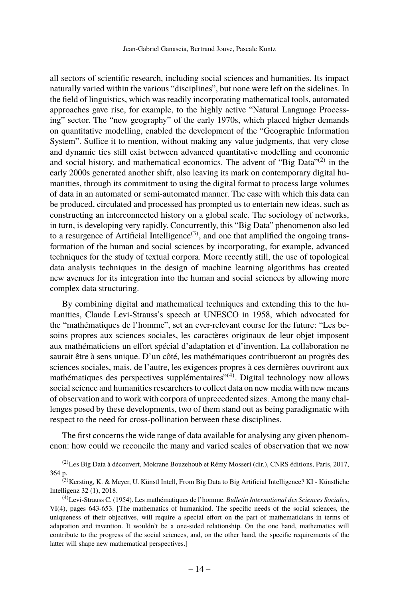all sectors of scientific research, including social sciences and humanities. Its impact naturally varied within the various "disciplines", but none were left on the sidelines. In the field of linguistics, which was readily incorporating mathematical tools, automated approaches gave rise, for example, to the highly active "Natural Language Processing" sector. The "new geography" of the early 1970s, which placed higher demands on quantitative modelling, enabled the development of the "Geographic Information System". Suffice it to mention, without making any value judgments, that very close and dynamic ties still exist between advanced quantitative modelling and economic and social history, and mathematical economics. The advent of "Big Data" $(2)$  in the early 2000s generated another shift, also leaving its mark on contemporary digital humanities, through its commitment to using the digital format to process large volumes of data in an automated or semi-automated manner. The ease with which this data can be produced, circulated and processed has prompted us to entertain new ideas, such as constructing an interconnected history on a global scale. The sociology of networks, in turn, is developing very rapidly. Concurrently, this "Big Data" phenomenon also led to a resurgence of Artificial Intelligence<sup>(3)</sup>, and one that amplified the ongoing transformation of the human and social sciences by incorporating, for example, advanced techniques for the study of textual corpora. More recently still, the use of topological data analysis techniques in the design of machine learning algorithms has created new avenues for its integration into the human and social sciences by allowing more complex data structuring.

By combining digital and mathematical techniques and extending this to the humanities, Claude Levi-Strauss's speech at UNESCO in 1958, which advocated for the "mathématiques de l'homme", set an ever-relevant course for the future: "Les besoins propres aux sciences sociales, les caractères originaux de leur objet imposent aux mathématiciens un effort spécial d'adaptation et d'invention. La collaboration ne saurait être à sens unique. D'un côté, les mathématiques contribueront au progrès des sciences sociales, mais, de l'autre, les exigences propres à ces dernières ouvriront aux mathématiques des perspectives supplémentaires<sup> $(4)$ </sup>. Digital technology now allows social science and humanities researchers to collect data on new media with new means of observation and to work with corpora of unprecedented sizes. Among the many challenges posed by these developments, two of them stand out as being paradigmatic with respect to the need for cross-pollination between these disciplines.

The first concerns the wide range of data available for analysing any given phenomenon: how could we reconcile the many and varied scales of observation that we now

<sup>(2)</sup>Les Big Data à découvert, Mokrane Bouzehoub et Rémy Mosseri (dir.), CNRS éditions, Paris, 2017, 364 p.

<sup>&</sup>lt;sup>(3)</sup>Kersting, K. & Meyer, U. Künstl Intell, From Big Data to Big Artificial Intelligence? KI - Künstliche Intelligenz 32 (1), 2018.

<sup>(4)</sup>Levi-Strauss C. (1954). Les mathématiques de l'homme. *Bulletin International des Sciences Sociales*, VI(4), pages 643-653. [The mathematics of humankind. The specific needs of the social sciences, the uniqueness of their objectives, will require a special effort on the part of mathematicians in terms of adaptation and invention. It wouldn't be a one-sided relationship. On the one hand, mathematics will contribute to the progress of the social sciences, and, on the other hand, the specific requirements of the latter will shape new mathematical perspectives.]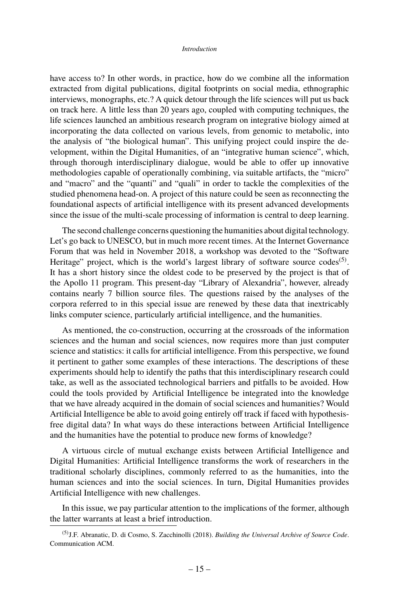## *Introduction*

have access to? In other words, in practice, how do we combine all the information extracted from digital publications, digital footprints on social media, ethnographic interviews, monographs, etc.? A quick detour through the life sciences will put us back on track here. A little less than 20 years ago, coupled with computing techniques, the life sciences launched an ambitious research program on integrative biology aimed at incorporating the data collected on various levels, from genomic to metabolic, into the analysis of "the biological human". This unifying project could inspire the development, within the Digital Humanities, of an "integrative human science", which, through thorough interdisciplinary dialogue, would be able to offer up innovative methodologies capable of operationally combining, via suitable artifacts, the "micro" and "macro" and the "quanti" and "quali" in order to tackle the complexities of the studied phenomena head-on. A project of this nature could be seen as reconnecting the foundational aspects of artificial intelligence with its present advanced developments since the issue of the multi-scale processing of information is central to deep learning.

The second challenge concerns questioning the humanities about digital technology. Let's go back to UNESCO, but in much more recent times. At the Internet Governance Forum that was held in November 2018, a workshop was devoted to the "Software Heritage" project, which is the world's largest library of software source codes<sup>(5)</sup>. It has a short history since the oldest code to be preserved by the project is that of the Apollo 11 program. This present-day "Library of Alexandria", however, already contains nearly 7 billion source files. The questions raised by the analyses of the corpora referred to in this special issue are renewed by these data that inextricably links computer science, particularly artificial intelligence, and the humanities.

As mentioned, the co-construction, occurring at the crossroads of the information sciences and the human and social sciences, now requires more than just computer science and statistics: it calls for artificial intelligence. From this perspective, we found it pertinent to gather some examples of these interactions. The descriptions of these experiments should help to identify the paths that this interdisciplinary research could take, as well as the associated technological barriers and pitfalls to be avoided. How could the tools provided by Artificial Intelligence be integrated into the knowledge that we have already acquired in the domain of social sciences and humanities? Would Artificial Intelligence be able to avoid going entirely off track if faced with hypothesisfree digital data? In what ways do these interactions between Artificial Intelligence and the humanities have the potential to produce new forms of knowledge?

A virtuous circle of mutual exchange exists between Artificial Intelligence and Digital Humanities: Artificial Intelligence transforms the work of researchers in the traditional scholarly disciplines, commonly referred to as the humanities, into the human sciences and into the social sciences. In turn, Digital Humanities provides Artificial Intelligence with new challenges.

In this issue, we pay particular attention to the implications of the former, although the latter warrants at least a brief introduction.

<sup>(5)</sup>J.F. Abranatic, D. di Cosmo, S. Zacchinolli (2018). *Building the Universal Archive of Source Code*. Communication ACM.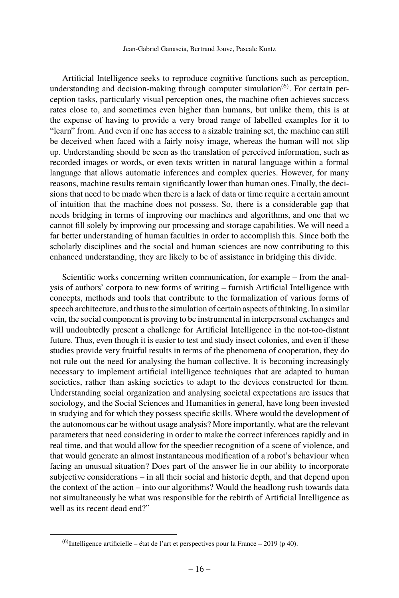Artificial Intelligence seeks to reproduce cognitive functions such as perception, understanding and decision-making through computer simulation<sup> $(6)$ </sup>. For certain perception tasks, particularly visual perception ones, the machine often achieves success rates close to, and sometimes even higher than humans, but unlike them, this is at the expense of having to provide a very broad range of labelled examples for it to "learn" from. And even if one has access to a sizable training set, the machine can still be deceived when faced with a fairly noisy image, whereas the human will not slip up. Understanding should be seen as the translation of perceived information, such as recorded images or words, or even texts written in natural language within a formal language that allows automatic inferences and complex queries. However, for many reasons, machine results remain significantly lower than human ones. Finally, the decisions that need to be made when there is a lack of data or time require a certain amount of intuition that the machine does not possess. So, there is a considerable gap that needs bridging in terms of improving our machines and algorithms, and one that we cannot fill solely by improving our processing and storage capabilities. We will need a far better understanding of human faculties in order to accomplish this. Since both the scholarly disciplines and the social and human sciences are now contributing to this enhanced understanding, they are likely to be of assistance in bridging this divide.

Scientific works concerning written communication, for example – from the analysis of authors' corpora to new forms of writing – furnish Artificial Intelligence with concepts, methods and tools that contribute to the formalization of various forms of speech architecture, and thus to the simulation of certain aspects of thinking. In a similar vein, the social component is proving to be instrumental in interpersonal exchanges and will undoubtedly present a challenge for Artificial Intelligence in the not-too-distant future. Thus, even though it is easier to test and study insect colonies, and even if these studies provide very fruitful results in terms of the phenomena of cooperation, they do not rule out the need for analysing the human collective. It is becoming increasingly necessary to implement artificial intelligence techniques that are adapted to human societies, rather than asking societies to adapt to the devices constructed for them. Understanding social organization and analysing societal expectations are issues that sociology, and the Social Sciences and Humanities in general, have long been invested in studying and for which they possess specific skills. Where would the development of the autonomous car be without usage analysis? More importantly, what are the relevant parameters that need considering in order to make the correct inferences rapidly and in real time, and that would allow for the speedier recognition of a scene of violence, and that would generate an almost instantaneous modification of a robot's behaviour when facing an unusual situation? Does part of the answer lie in our ability to incorporate subjective considerations – in all their social and historic depth, and that depend upon the context of the action – into our algorithms? Would the headlong rush towards data not simultaneously be what was responsible for the rebirth of Artificial Intelligence as well as its recent dead end?"

 $(6)$ Intelligence artificielle – état de l'art et perspectives pour la France – 2019 (p 40).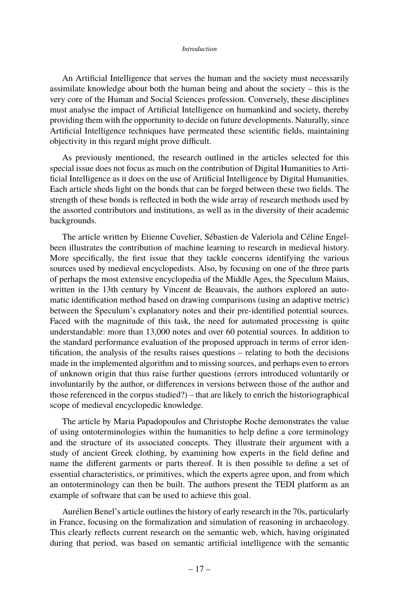## *Introduction*

An Artificial Intelligence that serves the human and the society must necessarily assimilate knowledge about both the human being and about the society – this is the very core of the Human and Social Sciences profession. Conversely, these disciplines must analyse the impact of Artificial Intelligence on humankind and society, thereby providing them with the opportunity to decide on future developments. Naturally, since Artificial Intelligence techniques have permeated these scientific fields, maintaining objectivity in this regard might prove difficult.

As previously mentioned, the research outlined in the articles selected for this special issue does not focus as much on the contribution of Digital Humanities to Artificial Intelligence as it does on the use of Artificial Intelligence by Digital Humanities. Each article sheds light on the bonds that can be forged between these two fields. The strength of these bonds is reflected in both the wide array of research methods used by the assorted contributors and institutions, as well as in the diversity of their academic backgrounds.

The article written by Etienne Cuvelier, Sébastien de Valeriola and Céline Engelbeen illustrates the contribution of machine learning to research in medieval history. More specifically, the first issue that they tackle concerns identifying the various sources used by medieval encyclopedists. Also, by focusing on one of the three parts of perhaps the most extensive encyclopedia of the Middle Ages, the Speculum Maius, written in the 13th century by Vincent de Beauvais, the authors explored an automatic identification method based on drawing comparisons (using an adaptive metric) between the Speculum's explanatory notes and their pre-identified potential sources. Faced with the magnitude of this task, the need for automated processing is quite understandable: more than 13,000 notes and over 60 potential sources. In addition to the standard performance evaluation of the proposed approach in terms of error identification, the analysis of the results raises questions – relating to both the decisions made in the implemented algorithm and to missing sources, and perhaps even to errors of unknown origin that thus raise further questions (errors introduced voluntarily or involuntarily by the author, or differences in versions between those of the author and those referenced in the corpus studied?) – that are likely to enrich the historiographical scope of medieval encyclopedic knowledge.

The article by Maria Papadopoulos and Christophe Roche demonstrates the value of using ontoterminologies within the humanities to help define a core terminology and the structure of its associated concepts. They illustrate their argument with a study of ancient Greek clothing, by examining how experts in the field define and name the different garments or parts thereof. It is then possible to define a set of essential characteristics, or primitives, which the experts agree upon, and from which an ontoterminology can then be built. The authors present the TEDI platform as an example of software that can be used to achieve this goal.

Aurélien Benel's article outlines the history of early research in the 70s, particularly in France, focusing on the formalization and simulation of reasoning in archaeology. This clearly reflects current research on the semantic web, which, having originated during that period, was based on semantic artificial intelligence with the semantic